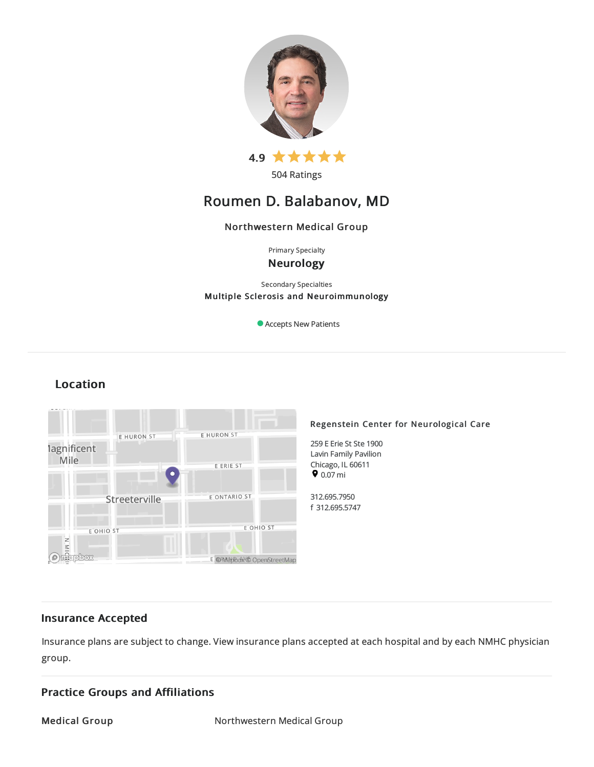

504 Ratings

# Roumen D. Balabanov, MD

# Northwestern Medical Group

Primary Specialty Neurology

Secondary Specialties Multiple Sclerosis and Neuroimmunology

Accepts New Patients

# Location



# Insurance Accepted

Insurance plans are subject to change. View [insurance](https://www.nm.org/patients-and-visitors/billing-and-insurance/insurance-information/accepted-insurance-plans) plans accepted at each hospital and by each NMHC physician group.

# Practice Groups and Affiliations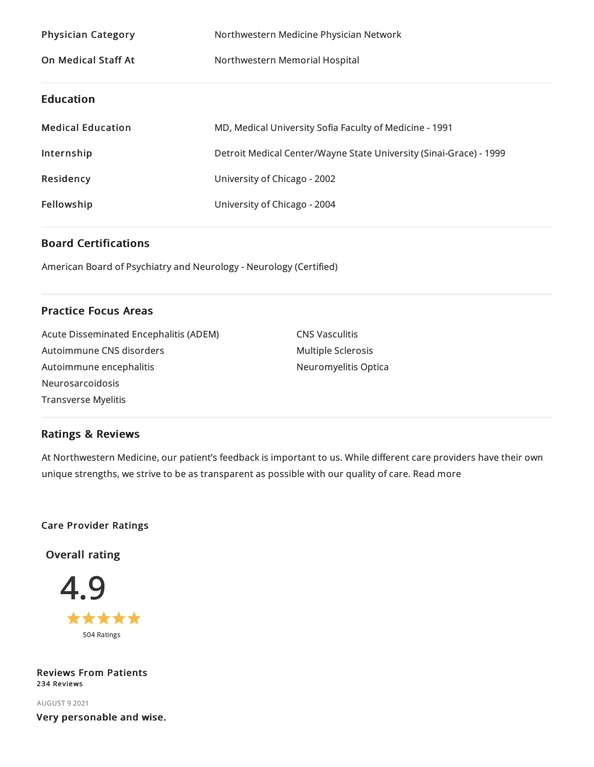| <b>Physician Category</b>  | Northwestern Medicine Physician Network                            |
|----------------------------|--------------------------------------------------------------------|
| <b>On Medical Staff At</b> | Northwestern Memorial Hospital                                     |
| <b>Education</b>           |                                                                    |
| <b>Medical Education</b>   | MD, Medical University Sofia Faculty of Medicine - 1991            |
| Internship                 | Detroit Medical Center/Wayne State University (Sinai-Grace) - 1999 |
| <b>Residency</b>           | University of Chicago - 2002                                       |
| Fellowship                 | University of Chicago - 2004                                       |

# Board Certifications

American Board of Psychiatryand Neurology - Neurology (Certified)

# Practice Focus Areas

Acute Disseminated Encephalitis (ADEM) Autoimmune CNS disorders Autoimmune encephalitis Neurosarcoidosis Transverse Myelitis

CNS Vasculitis Multiple Sclerosis Neuromyelitis Optica

# Ratings & Reviews

At Northwestern Medicine, our patient's feedback is important to us. While different care providers have their own unique strengths, we strive to be as transparent as possible with our quality of care. Read more

# Care Provider Ratings

Overall rating



Reviews From Patients 234 Reviews

AUGUST 92021 Very personable and wise.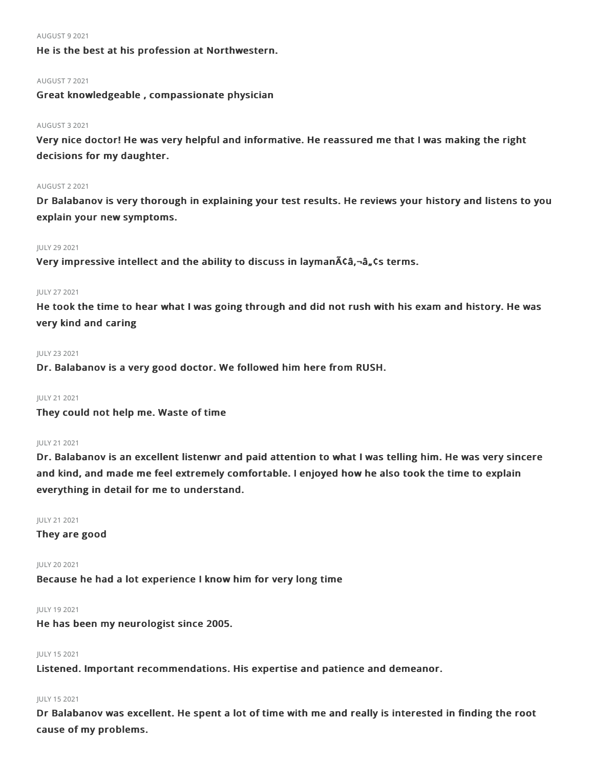#### AUGUST 92021

He is the best at his profession at Northwestern.

#### AUGUST 72021

Great knowledgeable , compassionate physician

### AUGUST 32021

Very nice doctor! He was very helpful and informative. He reassured me that I was making the right decisions for my daughter.

#### AUGUST 22021

Dr Balabanov is very thorough in explaining your test results. He reviews your history and listens to you explain your new symptoms.

#### JULY 292021

Very impressive intellect and the ability to discuss in layman $\tilde{A}$ câ,-â, cs terms.

### JULY 272021

He took the time to hear what I was going through and did not rush with his exam and history. He was very kind and caring

#### JULY 232021

Dr. Balabanov is a very good doctor. We followed him here from RUSH.

# JULY 212021

They could not help me. Waste of time

### JULY 212021

Dr. Balabanov is an excellent listenwr and paid attention to what I was telling him. He was very sincere and kind, and made me feel extremely comfortable. I enjoyed how he also took the time to explain everything in detail for me to understand.

# JULY 212021

They are good

#### JULY 202021

Because he had a lot experience I know him for very long time

#### JULY 192021

He has been my neurologist since 2005.

# JULY 152021

Listened. Important recommendations. His expertise and patience and demeanor.

# JULY 152021

Dr Balabanov was excellent. He spent a lot of time with me and really is interested in finding the root cause of my problems.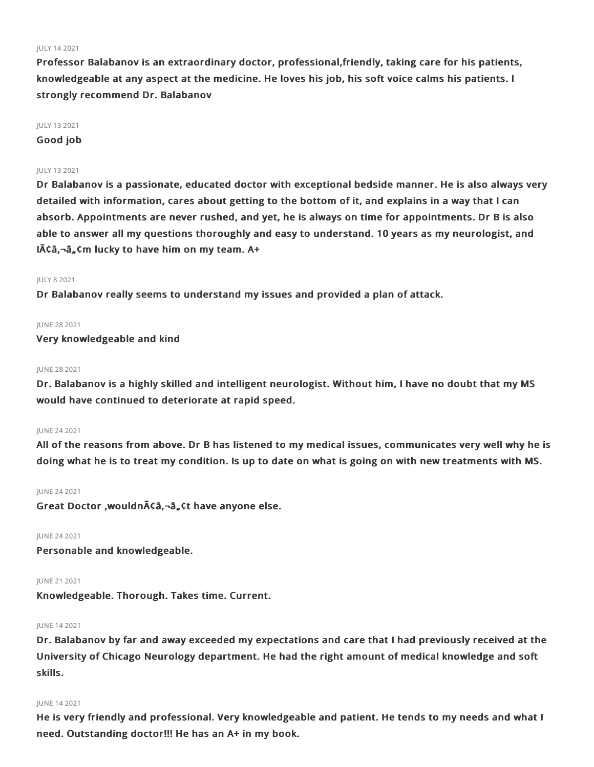#### JULY 142021

Professor Balabanov is an extraordinary doctor, professional,friendly, taking care for his patients, knowledgeable at any aspect at the medicine. He loves his job, his soft voice calms his patients. I strongly recommend Dr. Balabanov

### JULY 132021

Good job

#### JULY 132021

Dr Balabanov is a passionate, educated doctor with exceptional bedside manner. He is also always very detailed with information, cares about getting to the bottom of it, and explains in a way that I can absorb. Appointments are never rushed, and yet, he is always on time for appointments. Dr B is also able to answer all my questions thoroughly and easy to understand. 10 years as my neurologist, and  $I$  $\tilde{A}$  $C$  $\tilde{a}$ , $C$  $m$  lucky to have him on my team. A+

#### JULY 82021

Dr Balabanov really seems to understand my issues and provided a plan of attack.

#### JUNE 282021

Very knowledgeable and kind

#### JUNE 282021

Dr. Balabanov is a highly skilled and intelligent neurologist. Without him, I have no doubt that my MS would have continued to deteriorate at rapid speed.

# JUNE 242021

All of the reasons from above. Dr B has listened to my medical issues, communicates very well why he is doing what he is to treat my condition. Is up to date on what is going on with new treatments with MS.

#### JUNE 242021

Great Doctor , wouldn $\tilde{A}$ ca,  $\neg$ â, ct have anyone else.

#### JUNE 242021

Personable and knowledgeable.

#### JUNE 21 2021

Knowledgeable. Thorough. Takes time. Current.

#### JUNE 142021

Dr. Balabanov by far and away exceeded my expectations and care that I had previously received at the University of Chicago Neurology department. He had the right amount of medical knowledge and soft skills.

#### JUNE 142021

He is very friendly and professional. Very knowledgeable and patient. He tends to my needs and what I need. Outstanding doctor!!! He has an A+ in my book.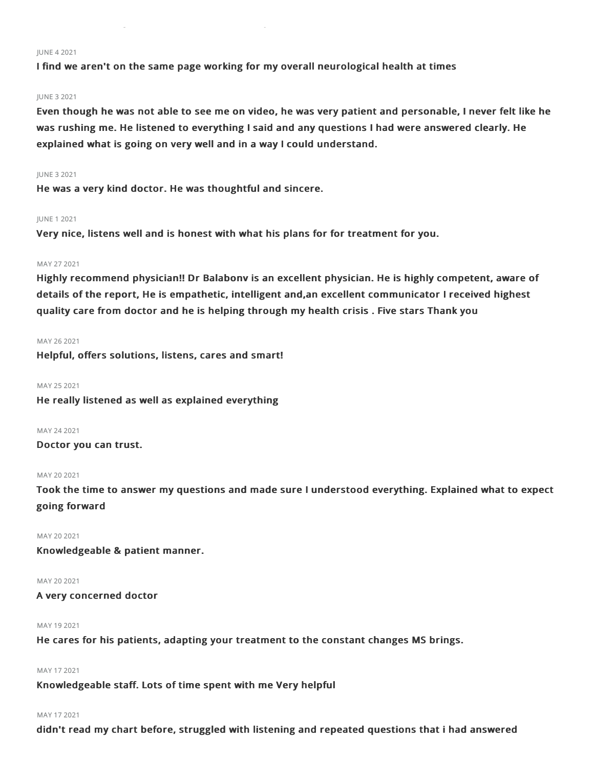#### JUNE 42021

I find we aren't on the same page working for my overall neurological health at times

#### JUNE 32021

Even though he was not able to see me on video, he was very patient and personable, I never felt like he was rushing me. He listened to everything I said and any questions I had were answered clearly. He explained what is going on very well and in a way I could understand.

#### JUNE 32021

He was a very kind doctor. He was thoughtful and sincere.

#### JUNE 12021

Very nice, listens well and is honest with what his plans for for treatment for you.

### MAY 272021

Highly recommend physician!! Dr Balabonv is an excellent physician. He is highly competent, aware of details of the report, He is empathetic, intelligent and,an excellent communicator I received highest quality care from doctor and he is helping through my health crisis . Five stars Thank you

#### MAY 262021

Helpful, offers solutions, listens, cares and smart!

MAY 252021

He really listened as well as explained everything

MAY 242021

Doctor you can trust.

#### MAY 20 2021

Took the time to answer my questions and made sure I understood everything. Explained what to expect going forward

#### MAY 20 2021

Knowledgeable & patient manner.

MAY 20 2021

#### A very concerned doctor

MAY 192021

He cares for his patients, adapting your treatment to the constant changes MS brings.

# MAY 172021

Knowledgeable staff. Lots of time spent with me Very helpful

# MAY 172021

didn't read my chart before, struggled with listening and repeated questions that i had answered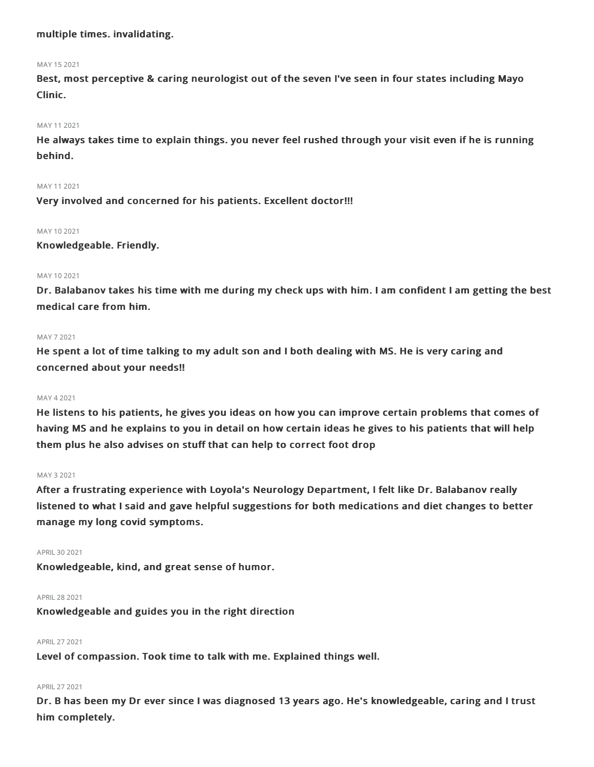# multiple times. invalidating.

#### MAY 152021

Best, most perceptive & caring neurologist out of the seven I've seen in four states including Mayo Clinic.

# MAY 112021

He always takes time to explain things. you never feel rushed through your visit even if he is running behind.

#### MAY 112021

Very involved and concerned for his patients. Excellent doctor!!!

#### MAY 10 2021

Knowledgeable. Friendly.

#### MAY 102021

Dr. Balabanov takes his time with me during my check ups with him. I am confident I am getting the best medical care from him.

#### MAY 72021

He spent a lot of time talking to my adult son and I both dealing with MS. He is very caring and concerned about your needs!!

#### MAY 42021

He listens to his patients, he gives you ideas on how you can improve certain problems that comes of having MS and he explains to you in detail on how certain ideas he gives to his patients that will help them plus he also advises on stuff that can help to correct foot drop

#### MAY 32021

After a frustrating experience with Loyola's Neurology Department, I felt like Dr. Balabanov really listened to what I said and gave helpful suggestions for both medications and diet changes to better manage my long covid symptoms.

#### APRIL302021

Knowledgeable, kind, and great sense of humor.

#### APRIL282021

Knowledgeable and guides you in the right direction

#### APRIL272021

Level of compassion. Took time to talk with me. Explained things well.

#### APRIL 27 2021

Dr. B has been my Dr ever since I was diagnosed 13 years ago. He's knowledgeable, caring and I trust him completely.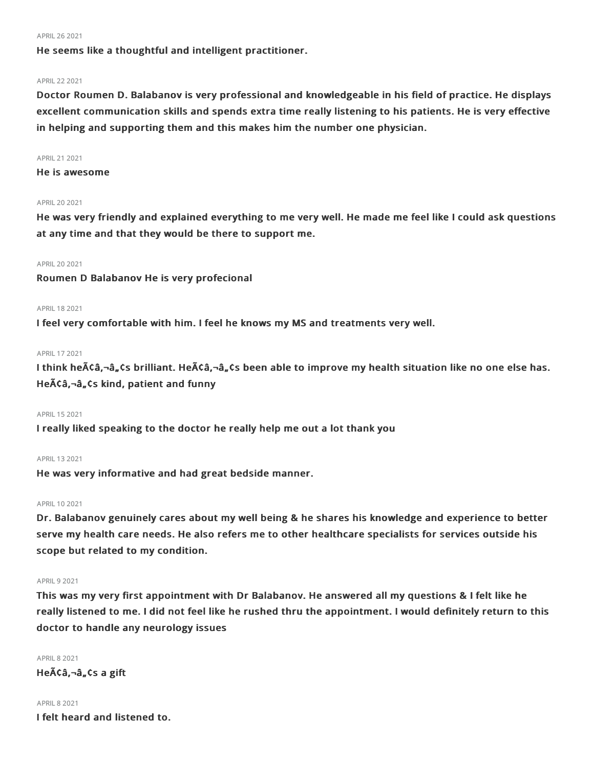#### APRIL262021

He seems like a thoughtful and intelligent practitioner.

#### APRIL222021

Doctor Roumen D. Balabanov is very professional and knowledgeable in his field of practice. He displays excellent communication skills and spends extra time really listening to his patients. He is very effective in helping and supporting them and this makes him the number one physician.

#### APRIL212021

He is awesome

## APRIL202021

He was very friendly and explained everything to me very well. He made me feel like I could ask questions at any time and that they would be there to support me.

#### APRIL202021

Roumen D Balabanov He is very profecional

#### APRIL182021

I feel very comfortable with him. I feel he knows my MS and treatments very well.

#### APRIL172021

I think he $\tilde{A}$ ¢â,¬â, $\tilde{C}$ s brilliant. He $\tilde{A}$ ¢â,¬â, $\tilde{C}$ s been able to improve my health situation like no one else has. Heââ,¬â"¢s kind, patient and funny

# APRIL152021

I really liked speaking to the doctor he really help me out a lot thank you

#### APRIL 13 2021

He was very informative and had great bedside manner.

#### APRIL 10 2021

Dr. Balabanov genuinely cares about my well being & he shares his knowledge and experience to better serve my health care needs. He also refers me to other healthcare specialists for services outside his scope but related to my condition.

#### **APRIL 9 2021**

This was my very first appointment with Dr Balabanov. He answered all my questions & I felt like he really listened to me. I did not feel like he rushed thru the appointment. I would definitely return to this doctor to handle any neurology issues

**APRIL 8 2021**  $He\tilde{A}\tilde{C}\hat{a}$ ,  $-\hat{a}$ ,  $\tilde{C}S$  a gift

# APRIL82021 I felt heard and listened to.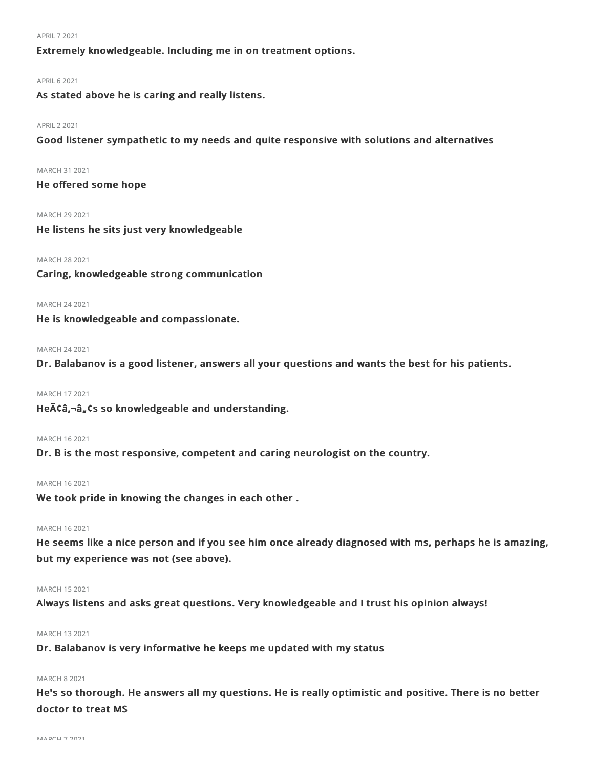#### APRIL72021

Extremely knowledgeable. Including me in on treatment options.

#### **APRIL 6 2021**

As stated above he is caring and really listens.

### APRIL22021

Good listener sympathetic to my needs and quite responsive with solutions and alternatives

MARCH 31 2021

# He offered some hope

MARCH 29 2021

He listens he sits just very knowledgeable

#### MARCH 282021

Caring, knowledgeable strong communication

## MARCH 242021

He is knowledgeable and compassionate.

# MARCH 242021

Dr. Balabanov is a good listener, answers all your questions and wants the best for his patients.

# MARCH 172021

He $\tilde{A}$ Ca, $\neg$ a, $\zeta$ s so knowledgeable and understanding.

#### MARCH 162021

Dr. B is the most responsive, competent and caring neurologist on the country.

### MARCH 162021

We took pride in knowing the changes in each other .

#### MARCH 162021

He seems like a nice person and if you see him once already diagnosed with ms, perhaps he is amazing, but my experience was not (see above).

#### MARCH 152021

Always listens and asks great questions. Very knowledgeable and I trust his opinion always!

### MARCH 132021

Dr. Balabanov is very informative he keeps me updated with my status

#### MARCH 82021

He's so thorough. He answers all my questions. He is really optimistic and positive. There is no better doctor to treat MS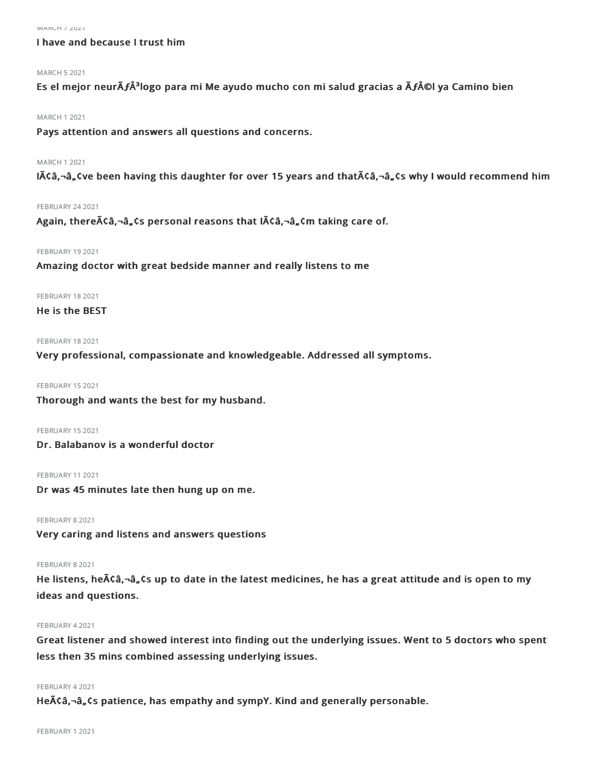# I have and because I trust him

# MARCH 52021

Es el mejor neurÃ**ƒ**³logo para mi Me ayudo mucho con mi salud gracias a Ã**ƒ**©l ya Camino bien

#### MARCH 12021

Pays attention and answers all questions and concerns.

#### MARCH 12021

 $I\tilde{A}\tilde{A}$ ,  $\tilde{A}$ ,  $\tilde{A}$  been having this daughter for over 15 years and that $\tilde{A}\tilde{A}$ ,  $\tilde{A}$ ,  $\tilde{A}$ ,  $\tilde{A}$  why I would recommend him

#### FEBRUARY 24 2021

Again, there $\tilde{A}$ Câ,¬â, Cs personal reasons that I $\tilde{A}$ Câ,¬â, Cm taking care of.

# **FEBRUARY 19 2021**

Amazing doctor with great bedside manner and really listens to me

#### FEBRUARY 18 2021

# He is the BEST

#### FEBRUARY 18 2021

Very professional, compassionate and knowledgeable. Addressed all symptoms.

FEBRUARY 15 2021

Thorough and wants the best for my husband.

FEBRUARY 15 2021

Dr. Balabanov is a wonderful doctor

#### FEBRUARY 11 2021

Dr was 45 minutes late then hung up on me.

FEBRUARY 8 2021

Very caring and listens and answers questions

#### FEBRUARY 8 2021

He listens, he ACa,-a, Cs up to date in the latest medicines, he has a great attitude and is open to my ideas and questions.

#### FEBRUARY 42021

Great listener and showed interest into finding out the underlying issues. Went to 5 doctors who spent less then 35 mins combined assessing underlying issues.

#### FEBRUARY 42021

He $\tilde{A}$ Ca, $-\hat{a}$ , Cs patience, has empathy and sympY. Kind and generally personable.